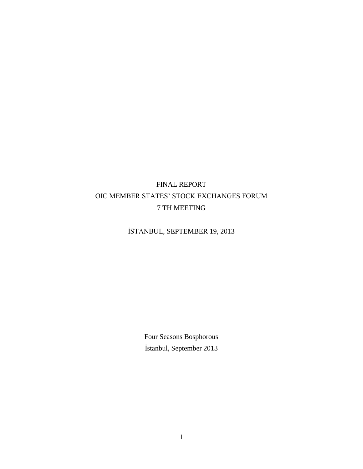# FINAL REPORT OIC MEMBER STATES' STOCK EXCHANGES FORUM 7 TH MEETING

# İSTANBUL, SEPTEMBER 19, 2013

Four Seasons Bosphorous İstanbul, September 2013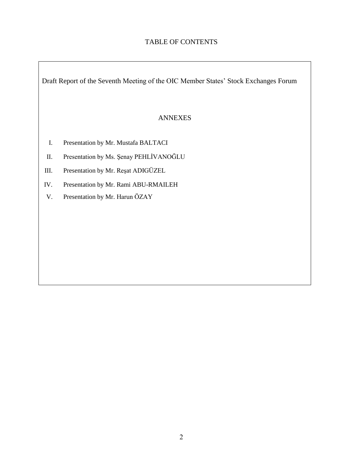## TABLE OF CONTENTS

Draft Report of the Seventh Meeting of the OIC Member States' Stock Exchanges Forum

### ANNEXES

- I. Presentation by Mr. Mustafa BALTACI
- II. Presentation by Ms. Şenay PEHLİVANOĞLU
- III. Presentation by Mr. Reşat ADIGÜZEL
- IV. Presentation by Mr. Rami ABU-RMAILEH
- V. Presentation by Mr. Harun ÖZAY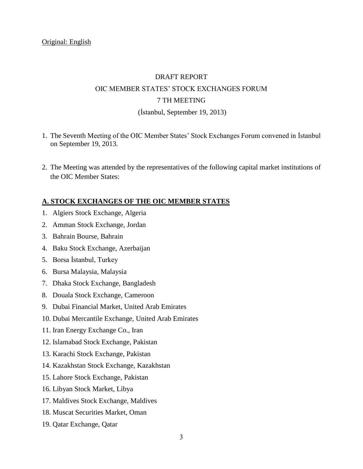# DRAFT REPORT OIC MEMBER STATES' STOCK EXCHANGES FORUM 7 TH MEETING (İstanbul, September 19, 2013)

- 1. The Seventh Meeting of the OIC Member States' Stock Exchanges Forum convened in İstanbul on September 19, 2013.
- 2. The Meeting was attended by the representatives of the following capital market institutions of the OIC Member States:

#### **A. STOCK EXCHANGES OF THE OIC MEMBER STATES**

- 1. Algiers Stock Exchange, Algeria
- 2. Amman Stock Exchange, Jordan
- 3. Bahrain Bourse, Bahrain
- 4. Baku Stock Exchange, Azerbaijan
- 5. Borsa İstanbul, Turkey
- 6. Bursa Malaysia, Malaysia
- 7. Dhaka Stock Exchange, Bangladesh
- 8. Douala Stock Exchange, Cameroon
- 9. Dubai Financial Market, United Arab Emirates
- 10. Dubai Mercantile Exchange, United Arab Emirates
- 11. Iran Energy Exchange Co., Iran
- 12. Islamabad Stock Exchange, Pakistan
- 13. Karachi Stock Exchange, Pakistan
- 14. Kazakhstan Stock Exchange, Kazakhstan
- 15. Lahore Stock Exchange, Pakistan
- 16. Libyan Stock Market, Libya
- 17. Maldives Stock Exchange, Maldives
- 18. Muscat Securities Market, Oman
- 19. Qatar Exchange, Qatar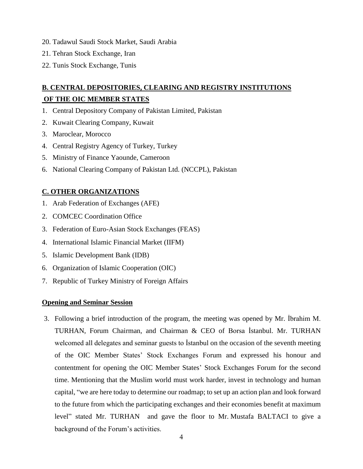- 20. Tadawul Saudi Stock Market, Saudi Arabia
- 21. Tehran Stock Exchange, Iran
- 22. Tunis Stock Exchange, Tunis

# **B. CENTRAL DEPOSITORIES, CLEARING AND REGISTRY INSTITUTIONS OF THE OIC MEMBER STATES**

- 1. Central Depository Company of Pakistan Limited, Pakistan
- 2. Kuwait Clearing Company, Kuwait
- 3. Maroclear, Morocco
- 4. Central Registry Agency of Turkey, Turkey
- 5. Ministry of Finance Yaounde, Cameroon
- 6. National Clearing Company of Pakistan Ltd. (NCCPL), Pakistan

### **C. OTHER ORGANIZATIONS**

- 1. Arab Federation of Exchanges (AFE)
- 2. COMCEC Coordination Office
- 3. Federation of Euro-Asian Stock Exchanges (FEAS)
- 4. International Islamic Financial Market (IIFM)
- 5. Islamic Development Bank (IDB)
- 6. Organization of Islamic Cooperation (OIC)
- 7. Republic of Turkey Ministry of Foreign Affairs

#### **Opening and Seminar Session**

3. Following a brief introduction of the program, the meeting was opened by Mr. İbrahim M. TURHAN, Forum Chairman, and Chairman & CEO of Borsa İstanbul. Mr. TURHAN welcomed all delegates and seminar guests to İstanbul on the occasion of the seventh meeting of the OIC Member States' Stock Exchanges Forum and expressed his honour and contentment for opening the OIC Member States' Stock Exchanges Forum for the second time. Mentioning that the Muslim world must work harder, invest in technology and human capital, "we are here today to determine our roadmap; to set up an action plan and look forward to the future from which the participating exchanges and their economies benefit at maximum level" stated Mr. TURHAN and gave the floor to Mr. Mustafa BALTACI to give a background of the Forum's activities.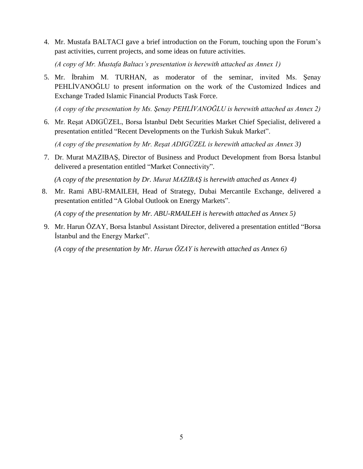4. Mr. Mustafa BALTACI gave a brief introduction on the Forum, touching upon the Forum's past activities, current projects, and some ideas on future activities.

*(A copy of Mr. Mustafa Baltacı's presentation is herewith attached as Annex 1)*

5. Mr. İbrahim M. TURHAN, as moderator of the seminar, invited Ms. Şenay PEHLİVANOĞLU to present information on the work of the Customized Indices and Exchange Traded Islamic Financial Products Task Force.

*(A copy of the presentation by Ms. Şenay PEHLİVANOĞLU is herewith attached as Annex 2)*

6. Mr. Reşat ADIGÜZEL, Borsa İstanbul Debt Securities Market Chief Specialist, delivered a presentation entitled "Recent Developments on the Turkish Sukuk Market".

*(A copy of the presentation by Mr. Reşat ADIGÜZEL is herewith attached as Annex 3)*

7. Dr. Murat MAZIBAŞ, Director of Business and Product Development from Borsa İstanbul delivered a presentation entitled "Market Connectivity".

 *(A copy of the presentation by Dr. Murat MAZIBAŞ is herewith attached as Annex 4)*

8. Mr. Rami ABU-RMAILEH, Head of Strategy, Dubai Mercantile Exchange, delivered a presentation entitled "A Global Outlook on Energy Markets".

*(A copy of the presentation by Mr. ABU-RMAILEH is herewith attached as Annex 5)*

9. Mr. Harun ÖZAY, Borsa İstanbul Assistant Director, delivered a presentation entitled "Borsa İstanbul and the Energy Market".

*(A copy of the presentation by Mr. Harun ÖZAY is herewith attached as Annex 6)*